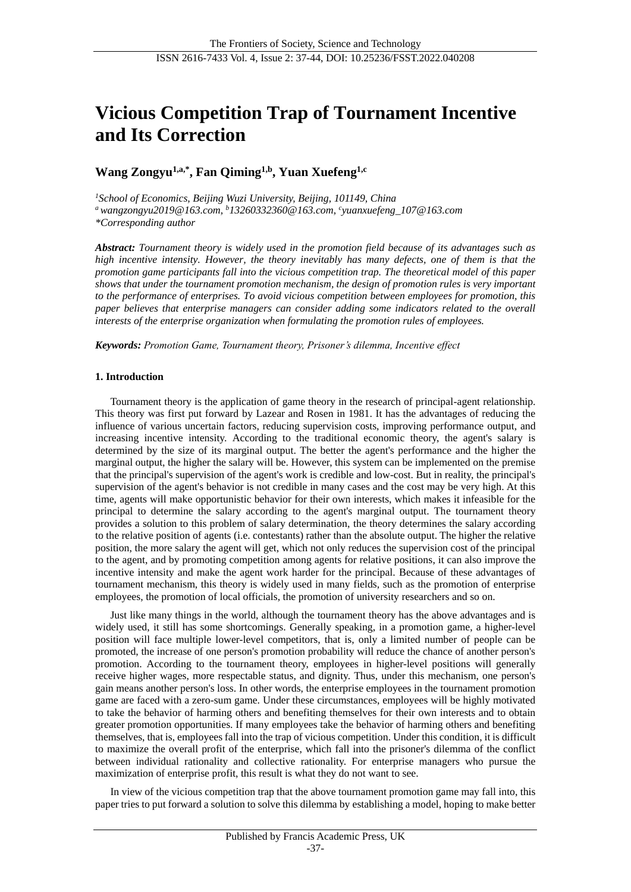# **Vicious Competition Trap of Tournament Incentive and Its Correction**

# **Wang Zongyu1,a,\* , Fan Qiming1,b , Yuan Xuefeng1,c**

*<sup>1</sup>School of Economics, Beijing Wuzi University, Beijing, 101149, China <sup>a</sup>[wangzongyu2019@163.com,](mailto:a%20wangzongyu2019@163.com) <sup>b</sup>[13260332360@163.com,](mailto:13260332360@163.com) c [yuanxuefeng\\_107@163.com](mailto:yuanxuefeng_107@163.com) \*Corresponding author*

*Abstract: Tournament theory is widely used in the promotion field because of its advantages such as high incentive intensity. However, the theory inevitably has many defects, one of them is that the promotion game participants fall into the vicious competition trap. The theoretical model of this paper shows that under the tournament promotion mechanism, the design of promotion rules is very important to the performance of enterprises. To avoid vicious competition between employees for promotion, this paper believes that enterprise managers can consider adding some indicators related to the overall interests of the enterprise organization when formulating the promotion rules of employees.*

*Keywords: Promotion Game, Tournament theory, Prisoner's dilemma, Incentive effect*

#### **1. Introduction**

Tournament theory is the application of game theory in the research of principal-agent relationship. This theory was first put forward by Lazear and Rosen in 1981. It has the advantages of reducing the influence of various uncertain factors, reducing supervision costs, improving performance output, and increasing incentive intensity. According to the traditional economic theory, the agent's salary is determined by the size of its marginal output. The better the agent's performance and the higher the marginal output, the higher the salary will be. However, this system can be implemented on the premise that the principal's supervision of the agent's work is credible and low-cost. But in reality, the principal's supervision of the agent's behavior is not credible in many cases and the cost may be very high. At this time, agents will make opportunistic behavior for their own interests, which makes it infeasible for the principal to determine the salary according to the agent's marginal output. The tournament theory provides a solution to this problem of salary determination, the theory determines the salary according to the relative position of agents (i.e. contestants) rather than the absolute output. The higher the relative position, the more salary the agent will get, which not only reduces the supervision cost of the principal to the agent, and by promoting competition among agents for relative positions, it can also improve the incentive intensity and make the agent work harder for the principal. Because of these advantages of tournament mechanism, this theory is widely used in many fields, such as the promotion of enterprise employees, the promotion of local officials, the promotion of university researchers and so on.

Just like many things in the world, although the tournament theory has the above advantages and is widely used, it still has some shortcomings. Generally speaking, in a promotion game, a higher-level position will face multiple lower-level competitors, that is, only a limited number of people can be promoted, the increase of one person's promotion probability will reduce the chance of another person's promotion. According to the tournament theory, employees in higher-level positions will generally receive higher wages, more respectable status, and dignity. Thus, under this mechanism, one person's gain means another person's loss. In other words, the enterprise employees in the tournament promotion game are faced with a zero-sum game. Under these circumstances, employees will be highly motivated to take the behavior of harming others and benefiting themselves for their own interests and to obtain greater promotion opportunities. If many employees take the behavior of harming others and benefiting themselves, that is, employees fall into the trap of vicious competition. Under this condition, it is difficult to maximize the overall profit of the enterprise, which fall into the prisoner's dilemma of the conflict between individual rationality and collective rationality. For enterprise managers who pursue the maximization of enterprise profit, this result is what they do not want to see.

In view of the vicious competition trap that the above tournament promotion game may fall into, this paper tries to put forward a solution to solve this dilemma by establishing a model, hoping to make better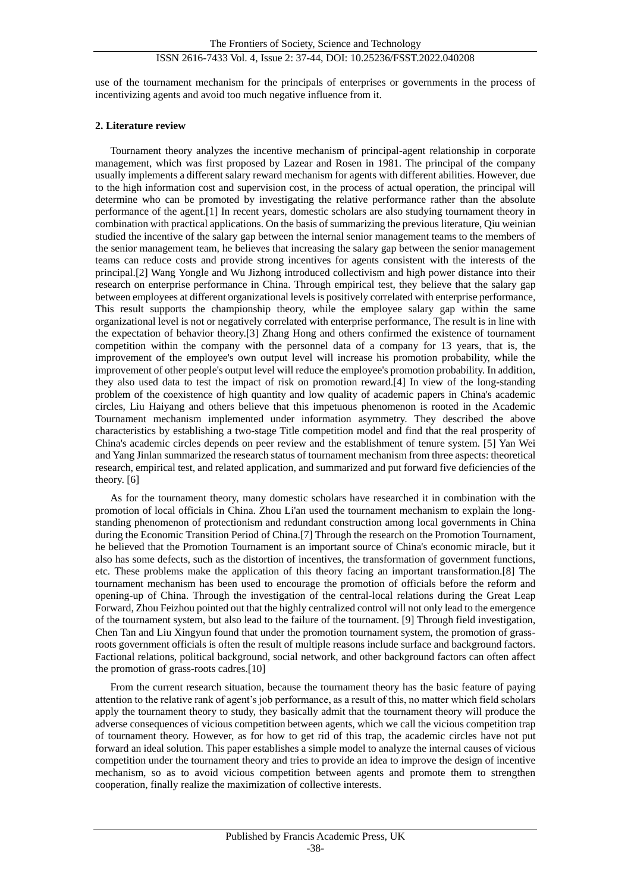use of the tournament mechanism for the principals of enterprises or governments in the process of incentivizing agents and avoid too much negative influence from it.

#### **2. Literature review**

Tournament theory analyzes the incentive mechanism of principal-agent relationship in corporate management, which was first proposed by Lazear and Rosen in 1981. The principal of the company usually implements a different salary reward mechanism for agents with different abilities. However, due to the high information cost and supervision cost, in the process of actual operation, the principal will determine who can be promoted by investigating the relative performance rather than the absolute performance of the agent.[1] In recent years, domestic scholars are also studying tournament theory in combination with practical applications. On the basis of summarizing the previous literature, Qiu weinian studied the incentive of the salary gap between the internal senior management teams to the members of the senior management team, he believes that increasing the salary gap between the senior management teams can reduce costs and provide strong incentives for agents consistent with the interests of the principal.[2] Wang Yongle and Wu Jizhong introduced collectivism and high power distance into their research on enterprise performance in China. Through empirical test, they believe that the salary gap between employees at different organizational levels is positively correlated with enterprise performance, This result supports the championship theory, while the employee salary gap within the same organizational level is not or negatively correlated with enterprise performance, The result is in line with the expectation of behavior theory.[3] Zhang Hong and others confirmed the existence of tournament competition within the company with the personnel data of a company for 13 years, that is, the improvement of the employee's own output level will increase his promotion probability, while the improvement of other people's output level will reduce the employee's promotion probability. In addition, they also used data to test the impact of risk on promotion reward.[4] In view of the long-standing problem of the coexistence of high quantity and low quality of academic papers in China's academic circles, Liu Haiyang and others believe that this impetuous phenomenon is rooted in the Academic Tournament mechanism implemented under information asymmetry. They described the above characteristics by establishing a two-stage Title competition model and find that the real prosperity of China's academic circles depends on peer review and the establishment of tenure system. [5] Yan Wei and Yang Jinlan summarized the research status of tournament mechanism from three aspects: theoretical research, empirical test, and related application, and summarized and put forward five deficiencies of the theory. [6]

As for the tournament theory, many domestic scholars have researched it in combination with the promotion of local officials in China. Zhou Li'an used the tournament mechanism to explain the longstanding phenomenon of protectionism and redundant construction among local governments in China during the Economic Transition Period of China.[7] Through the research on the Promotion Tournament, he believed that the Promotion Tournament is an important source of China's economic miracle, but it also has some defects, such as the distortion of incentives, the transformation of government functions, etc. These problems make the application of this theory facing an important transformation.[8] The tournament mechanism has been used to encourage the promotion of officials before the reform and opening-up of China. Through the investigation of the central-local relations during the Great Leap Forward, Zhou Feizhou pointed out that the highly centralized control will not only lead to the emergence of the tournament system, but also lead to the failure of the tournament. [9] Through field investigation, Chen Tan and Liu Xingyun found that under the promotion tournament system, the promotion of grassroots government officials is often the result of multiple reasons include surface and background factors. Factional relations, political background, social network, and other background factors can often affect the promotion of grass-roots cadres.[10]

From the current research situation, because the tournament theory has the basic feature of paying attention to the relative rank of agent's job performance, as a result of this, no matter which field scholars apply the tournament theory to study, they basically admit that the tournament theory will produce the adverse consequences of vicious competition between agents, which we call the vicious competition trap of tournament theory. However, as for how to get rid of this trap, the academic circles have not put forward an ideal solution. This paper establishes a simple model to analyze the internal causes of vicious competition under the tournament theory and tries to provide an idea to improve the design of incentive mechanism, so as to avoid vicious competition between agents and promote them to strengthen cooperation, finally realize the maximization of collective interests.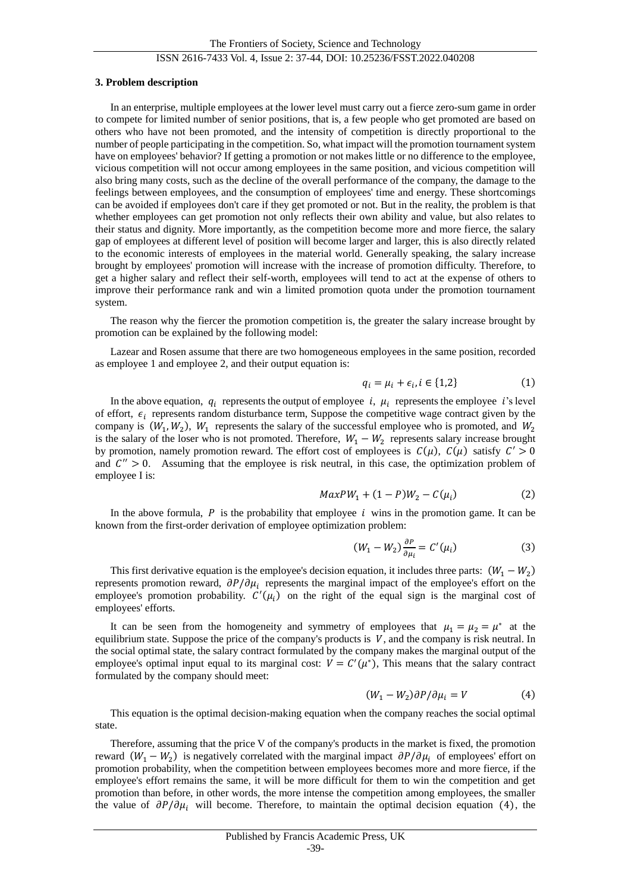#### ISSN 2616-7433 Vol. 4, Issue 2: 37-44, DOI: 10.25236/FSST.2022.040208

#### **3. Problem description**

In an enterprise, multiple employees at the lower level must carry out a fierce zero-sum game in order to compete for limited number of senior positions, that is, a few people who get promoted are based on others who have not been promoted, and the intensity of competition is directly proportional to the number of people participating in the competition. So, what impact will the promotion tournament system have on employees' behavior? If getting a promotion or not makes little or no difference to the employee, vicious competition will not occur among employees in the same position, and vicious competition will also bring many costs, such as the decline of the overall performance of the company, the damage to the feelings between employees, and the consumption of employees' time and energy. These shortcomings can be avoided if employees don't care if they get promoted or not. But in the reality, the problem is that whether employees can get promotion not only reflects their own ability and value, but also relates to their status and dignity. More importantly, as the competition become more and more fierce, the salary gap of employees at different level of position will become larger and larger, this is also directly related to the economic interests of employees in the material world. Generally speaking, the salary increase brought by employees' promotion will increase with the increase of promotion difficulty. Therefore, to get a higher salary and reflect their self-worth, employees will tend to act at the expense of others to improve their performance rank and win a limited promotion quota under the promotion tournament system.

The reason why the fiercer the promotion competition is, the greater the salary increase brought by promotion can be explained by the following model:

Lazear and Rosen assume that there are two homogeneous employees in the same position, recorded as employee 1 and employee 2, and their output equation is:

$$
q_i = \mu_i + \epsilon_i, i \in \{1, 2\} \tag{1}
$$

In the above equation,  $q_i$  represents the output of employee i,  $\mu_i$  represents the employee i's level of effort,  $\epsilon_i$  represents random disturbance term, Suppose the competitive wage contract given by the company is  $(W_1, W_2)$ ,  $W_1$  represents the salary of the successful employee who is promoted, and  $W_2$ is the salary of the loser who is not promoted. Therefore,  $W_1 - W_2$  represents salary increase brought by promotion, namely promotion reward. The effort cost of employees is  $C(\mu)$ ,  $C(\mu)$  satisfy  $C' > 0$ and  $C'' > 0$ . Assuming that the employee is risk neutral, in this case, the optimization problem of employee I is:

$$
MaxPW_1 + (1 - P)W_2 - C(\mu_i)
$$
 (2)

In the above formula,  $P$  is the probability that employee  $i$  wins in the promotion game. It can be known from the first-order derivation of employee optimization problem:

$$
(W_1 - W_2) \frac{\partial P}{\partial \mu_i} = C'(\mu_i)
$$
 (3)

This first derivative equation is the employee's decision equation, it includes three parts:  $(W_1 - W_2)$ represents promotion reward,  $\partial P/\partial \mu_i$  represents the marginal impact of the employee's effort on the employee's promotion probability.  $C'(\mu_i)$  on the right of the equal sign is the marginal cost of employees' efforts.

It can be seen from the homogeneity and symmetry of employees that  $\mu_1 = \mu_2 = \mu^*$  at the equilibrium state. Suppose the price of the company's products is  $V$ , and the company is risk neutral. In the social optimal state, the salary contract formulated by the company makes the marginal output of the employee's optimal input equal to its marginal cost:  $V = C'(\mu^*)$ , This means that the salary contract formulated by the company should meet:

$$
(W_1 - W_2)\partial P/\partial \mu_i = V \tag{4}
$$

This equation is the optimal decision-making equation when the company reaches the social optimal state.

Therefore, assuming that the price V of the company's products in the market is fixed, the promotion reward  $(W_1 - W_2)$  is negatively correlated with the marginal impact  $\partial P/\partial \mu_i$  of employees' effort on promotion probability, when the competition between employees becomes more and more fierce, if the employee's effort remains the same, it will be more difficult for them to win the competition and get promotion than before, in other words, the more intense the competition among employees, the smaller the value of  $\partial P/\partial \mu_i$  will become. Therefore, to maintain the optimal decision equation (4), the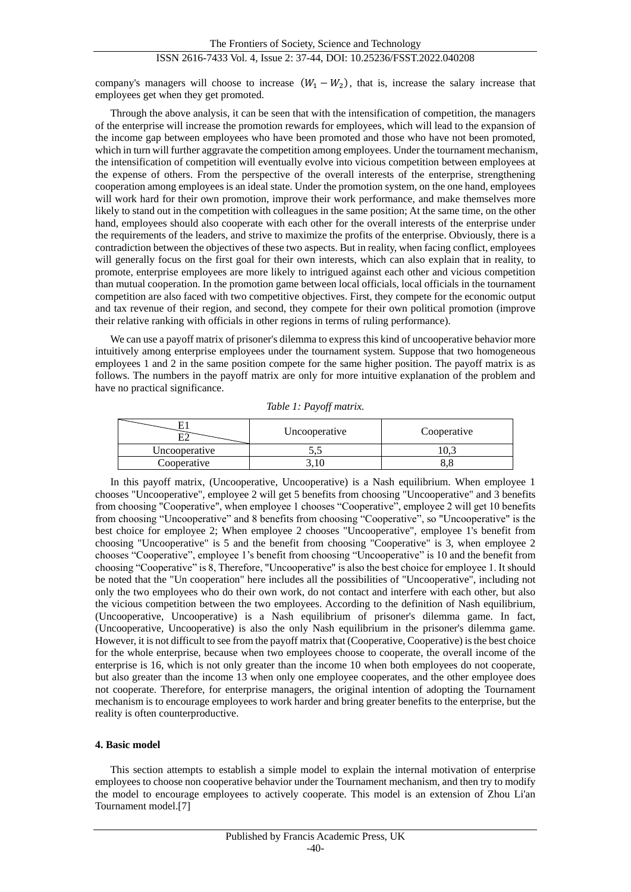company's managers will choose to increase  $(W_1 - W_2)$ , that is, increase the salary increase that employees get when they get promoted.

Through the above analysis, it can be seen that with the intensification of competition, the managers of the enterprise will increase the promotion rewards for employees, which will lead to the expansion of the income gap between employees who have been promoted and those who have not been promoted, which in turn will further aggravate the competition among employees. Under the tournament mechanism, the intensification of competition will eventually evolve into vicious competition between employees at the expense of others. From the perspective of the overall interests of the enterprise, strengthening cooperation among employees is an ideal state. Under the promotion system, on the one hand, employees will work hard for their own promotion, improve their work performance, and make themselves more likely to stand out in the competition with colleagues in the same position; At the same time, on the other hand, employees should also cooperate with each other for the overall interests of the enterprise under the requirements of the leaders, and strive to maximize the profits of the enterprise. Obviously, there is a contradiction between the objectives of these two aspects. But in reality, when facing conflict, employees will generally focus on the first goal for their own interests, which can also explain that in reality, to promote, enterprise employees are more likely to intrigued against each other and vicious competition than mutual cooperation. In the promotion game between local officials, local officials in the tournament competition are also faced with two competitive objectives. First, they compete for the economic output and tax revenue of their region, and second, they compete for their own political promotion (improve their relative ranking with officials in other regions in terms of ruling performance).

We can use a payoff matrix of prisoner's dilemma to express this kind of uncooperative behavior more intuitively among enterprise employees under the tournament system. Suppose that two homogeneous employees 1 and 2 in the same position compete for the same higher position. The payoff matrix is as follows. The numbers in the payoff matrix are only for more intuitive explanation of the problem and have no practical significance.

|               | Uncooperative | Cooperative |
|---------------|---------------|-------------|
| Uncooperative | ັ້            |             |
| Cooperative   |               |             |

*Table 1: Payoff matrix.*

In this payoff matrix, (Uncooperative, Uncooperative) is a Nash equilibrium. When employee 1 chooses "Uncooperative", employee 2 will get 5 benefits from choosing "Uncooperative" and 3 benefits from choosing "Cooperative", when employee 1 chooses "Cooperative", employee 2 will get 10 benefits from choosing "Uncooperative" and 8 benefits from choosing "Cooperative", so "Uncooperative" is the best choice for employee 2; When employee 2 chooses "Uncooperative", employee 1's benefit from choosing "Uncooperative" is 5 and the benefit from choosing "Cooperative" is 3, when employee 2 chooses "Cooperative", employee 1's benefit from choosing "Uncooperative" is 10 and the benefit from choosing "Cooperative" is 8, Therefore, "Uncooperative" is also the best choice for employee 1. It should be noted that the "Un cooperation" here includes all the possibilities of "Uncooperative", including not only the two employees who do their own work, do not contact and interfere with each other, but also the vicious competition between the two employees. According to the definition of Nash equilibrium, (Uncooperative, Uncooperative) is a Nash equilibrium of prisoner's dilemma game. In fact, (Uncooperative, Uncooperative) is also the only Nash equilibrium in the prisoner's dilemma game. However, it is not difficult to see from the payoff matrix that (Cooperative, Cooperative) is the best choice for the whole enterprise, because when two employees choose to cooperate, the overall income of the enterprise is 16, which is not only greater than the income 10 when both employees do not cooperate, but also greater than the income 13 when only one employee cooperates, and the other employee does not cooperate. Therefore, for enterprise managers, the original intention of adopting the Tournament mechanism is to encourage employees to work harder and bring greater benefits to the enterprise, but the reality is often counterproductive.

#### **4. Basic model**

This section attempts to establish a simple model to explain the internal motivation of enterprise employees to choose non cooperative behavior under the Tournament mechanism, and then try to modify the model to encourage employees to actively cooperate. This model is an extension of Zhou Li'an Tournament model.[7]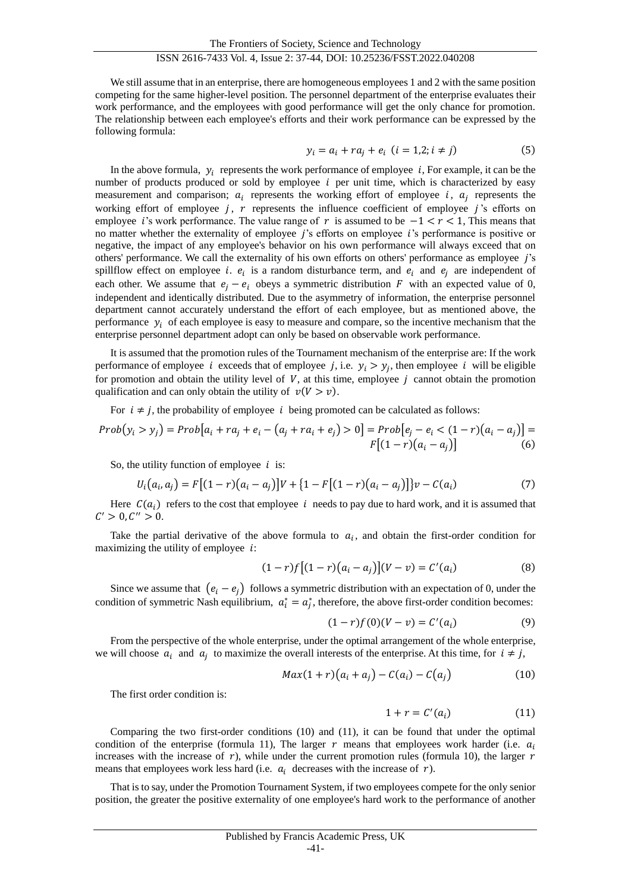We still assume that in an enterprise, there are homogeneous employees 1 and 2 with the same position competing for the same higher-level position. The personnel department of the enterprise evaluates their work performance, and the employees with good performance will get the only chance for promotion. The relationship between each employee's efforts and their work performance can be expressed by the following formula:

$$
y_i = a_i + ra_j + e_i \ (i = 1, 2; i \neq j)
$$
 (5)

In the above formula,  $y_i$  represents the work performance of employee  $i$ , For example, it can be the number of products produced or sold by employee  $i$  per unit time, which is characterized by easy measurement and comparison;  $a_i$  represents the working effort of employee i,  $a_j$  represents the working effort of employee  $j$ ,  $r$  represents the influence coefficient of employee  $j$ 's efforts on employee *i*'s work performance. The value range of  $r$  is assumed to be  $-1 < r < 1$ , This means that no matter whether the externality of employee *i*'s efforts on employee *i*'s performance is positive or negative, the impact of any employee's behavior on his own performance will always exceed that on others' performance. We call the externality of his own efforts on others' performance as employee 's spillflow effect on employee *i*.  $e_i$  is a random disturbance term, and  $e_i$  and  $e_j$  are independent of each other. We assume that  $e_i - e_i$  obeys a symmetric distribution F with an expected value of 0, independent and identically distributed. Due to the asymmetry of information, the enterprise personnel department cannot accurately understand the effort of each employee, but as mentioned above, the performance  $y_i$  of each employee is easy to measure and compare, so the incentive mechanism that the enterprise personnel department adopt can only be based on observable work performance.

It is assumed that the promotion rules of the Tournament mechanism of the enterprise are: If the work performance of employee *i* exceeds that of employee *j*, i.e.  $y_i > y_j$ , then employee *i* will be eligible for promotion and obtain the utility level of  $V$ , at this time, employee  $j$  cannot obtain the promotion qualification and can only obtain the utility of  $v(V > v)$ .

For  $i \neq j$ , the probability of employee i being promoted can be calculated as follows:

$$
Prob(y_i > y_j) = Prob[a_i + ra_j + e_i - (a_j + ra_i + e_j) > 0] = Prob[e_j - e_i < (1 - r)(a_i - a_j)] = F[(1 - r)(a_i - a_j)]
$$
(6)

So, the utility function of employee  $i$  is:

$$
U_i(a_i, a_j) = F[(1 - r)(a_i - a_j)]V + \{1 - F[(1 - r)(a_i - a_j)]\}v - C(a_i)
$$
\n(7)

Here  $C(a_i)$  refers to the cost that employee i needs to pay due to hard work, and it is assumed that  $C' > 0, C'' > 0.$ 

Take the partial derivative of the above formula to  $a_i$ , and obtain the first-order condition for maximizing the utility of employee  $i$ :

$$
(1-r)f[(1-r)(a_i-a_j)](V-v) = C'(a_i)
$$
\n(8)

Since we assume that  $(e_i - e_j)$  follows a symmetric distribution with an expectation of 0, under the condition of symmetric Nash equilibrium,  $a_i^* = a_j^*$ , therefore, the above first-order condition becomes:

$$
(1 - r)f(0)(V - v) = C'(a_i)
$$
 (9)

From the perspective of the whole enterprise, under the optimal arrangement of the whole enterprise, we will choose  $a_i$  and  $a_j$  to maximize the overall interests of the enterprise. At this time, for  $i \neq j$ ,

$$
Max(1+r)(a_i + a_j) - C(a_i) - C(a_j)
$$
\n(10)

The first order condition is:

$$
1 + r = C'(a_i) \tag{11}
$$

Comparing the two first-order conditions (10) and (11), it can be found that under the optimal condition of the enterprise (formula 11), The larger  $r$  means that employees work harder (i.e.  $a_i$ increases with the increase of  $r$ ), while under the current promotion rules (formula 10), the larger  $r$ means that employees work less hard (i.e.  $a_i$  decreases with the increase of  $r$ ).

That is to say, under the Promotion Tournament System, if two employees compete for the only senior position, the greater the positive externality of one employee's hard work to the performance of another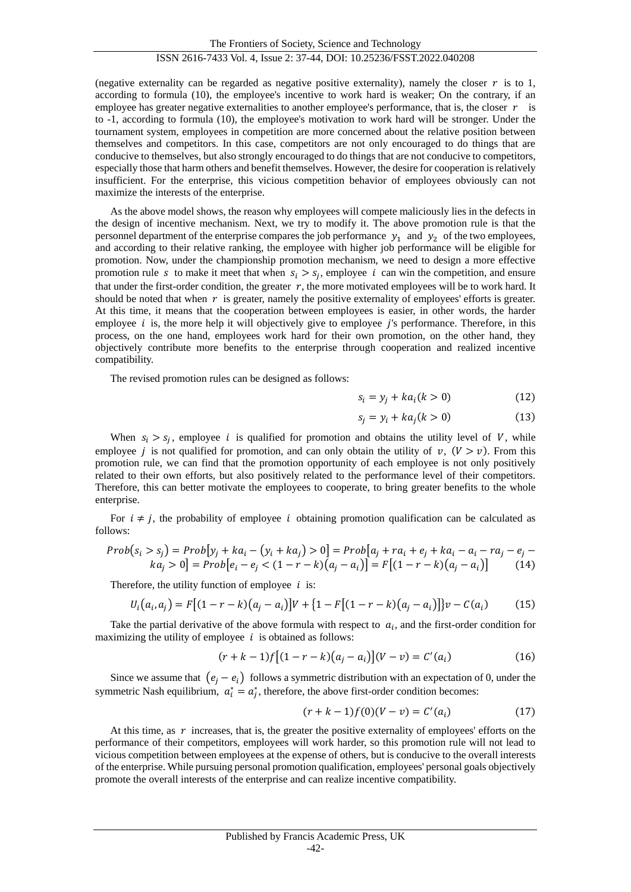(negative externality can be regarded as negative positive externality), namely the closer  $r$  is to 1, according to formula (10), the employee's incentive to work hard is weaker; On the contrary, if an employee has greater negative externalities to another employee's performance, that is, the closer  $r$  is to -1, according to formula (10), the employee's motivation to work hard will be stronger. Under the tournament system, employees in competition are more concerned about the relative position between themselves and competitors. In this case, competitors are not only encouraged to do things that are conducive to themselves, but also strongly encouraged to do things that are not conducive to competitors, especially those that harm others and benefit themselves. However, the desire for cooperation is relatively insufficient. For the enterprise, this vicious competition behavior of employees obviously can not maximize the interests of the enterprise.

As the above model shows, the reason why employees will compete maliciously lies in the defects in the design of incentive mechanism. Next, we try to modify it. The above promotion rule is that the personnel department of the enterprise compares the job performance  $y_1$  and  $y_2$  of the two employees, and according to their relative ranking, the employee with higher job performance will be eligible for promotion. Now, under the championship promotion mechanism, we need to design a more effective promotion rule s to make it meet that when  $s_i > s_j$ , employee i can win the competition, and ensure that under the first-order condition, the greater  $r$ , the more motivated employees will be to work hard. It should be noted that when  $r$  is greater, namely the positive externality of employees' efforts is greater. At this time, it means that the cooperation between employees is easier, in other words, the harder employee  $i$  is, the more help it will objectively give to employee  $i$ 's performance. Therefore, in this process, on the one hand, employees work hard for their own promotion, on the other hand, they objectively contribute more benefits to the enterprise through cooperation and realized incentive compatibility.

The revised promotion rules can be designed as follows:

$$
s_i = y_j + k a_i (k > 0)
$$
 (12)

$$
s_j = y_i + ka_j(k>0)
$$
 (13)

When  $s_i > s_j$ , employee *i* is qualified for promotion and obtains the utility level of *V*, while employee *j* is not qualified for promotion, and can only obtain the utility of  $v$ ,  $(V > v)$ . From this promotion rule, we can find that the promotion opportunity of each employee is not only positively related to their own efforts, but also positively related to the performance level of their competitors. Therefore, this can better motivate the employees to cooperate, to bring greater benefits to the whole enterprise.

For  $i \neq j$ , the probability of employee i obtaining promotion qualification can be calculated as follows:

$$
Prob(s_i > s_j) = Prob[y_j + ka_i - (y_i + ka_j) > 0] = Prob[a_j + ra_i + e_j + ka_i - a_i - ra_j - e_j - ka_j > 0] = Prob[e_i - e_j < (1 - r - k)(a_j - a_i)] = F[(1 - r - k)(a_j - a_i)] \tag{14}
$$

Therefore, the utility function of employee  $i$  is:

$$
U_i(a_i, a_j) = F[(1 - r - k)(a_j - a_i)]V + \{1 - F[(1 - r - k)(a_j - a_i)]\}v - C(a_i)
$$
(15)

Take the partial derivative of the above formula with respect to  $a_i$ , and the first-order condition for maximizing the utility of employee  $i$  is obtained as follows:

$$
(r+k-1)f[(1-r-k)(a_j-a_i)](V-v) = C'(a_i)
$$
\n(16)

Since we assume that  $(e_i - e_i)$  follows a symmetric distribution with an expectation of 0, under the symmetric Nash equilibrium,  $a_i^* = a_j^*$ , therefore, the above first-order condition becomes:

$$
(r + k - 1)f(0)(V - v) = C'(a_i)
$$
 (17)

At this time, as  $r$  increases, that is, the greater the positive externality of employees' efforts on the performance of their competitors, employees will work harder, so this promotion rule will not lead to vicious competition between employees at the expense of others, but is conducive to the overall interests of the enterprise. While pursuing personal promotion qualification, employees' personal goals objectively promote the overall interests of the enterprise and can realize incentive compatibility.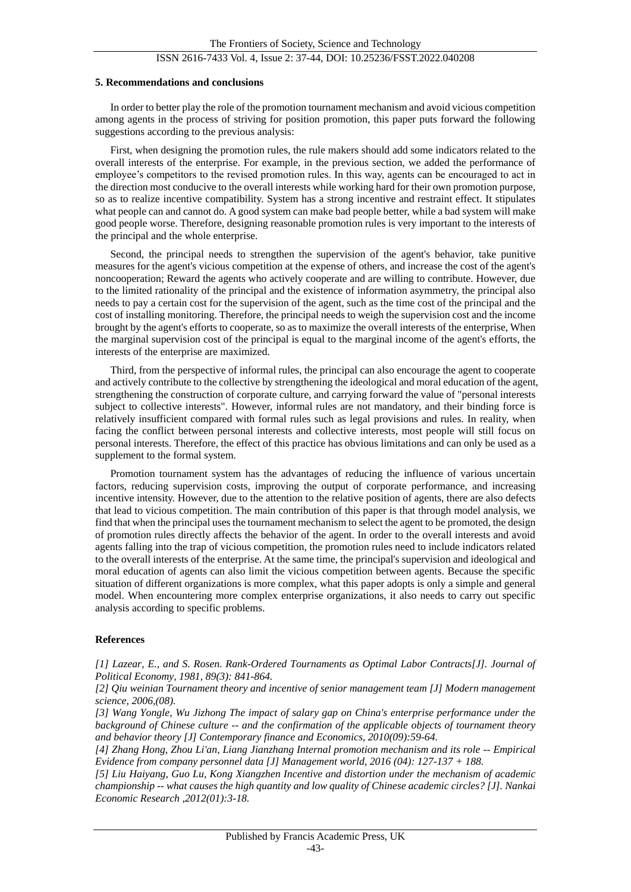### ISSN 2616-7433 Vol. 4, Issue 2: 37-44, DOI: 10.25236/FSST.2022.040208

#### **5. Recommendations and conclusions**

In order to better play the role of the promotion tournament mechanism and avoid vicious competition among agents in the process of striving for position promotion, this paper puts forward the following suggestions according to the previous analysis:

First, when designing the promotion rules, the rule makers should add some indicators related to the overall interests of the enterprise. For example, in the previous section, we added the performance of employee's competitors to the revised promotion rules. In this way, agents can be encouraged to act in the direction most conducive to the overall interests while working hard for their own promotion purpose, so as to realize incentive compatibility. System has a strong incentive and restraint effect. It stipulates what people can and cannot do. A good system can make bad people better, while a bad system will make good people worse. Therefore, designing reasonable promotion rules is very important to the interests of the principal and the whole enterprise.

Second, the principal needs to strengthen the supervision of the agent's behavior, take punitive measures for the agent's vicious competition at the expense of others, and increase the cost of the agent's noncooperation; Reward the agents who actively cooperate and are willing to contribute. However, due to the limited rationality of the principal and the existence of information asymmetry, the principal also needs to pay a certain cost for the supervision of the agent, such as the time cost of the principal and the cost of installing monitoring. Therefore, the principal needs to weigh the supervision cost and the income brought by the agent's efforts to cooperate, so as to maximize the overall interests of the enterprise, When the marginal supervision cost of the principal is equal to the marginal income of the agent's efforts, the interests of the enterprise are maximized.

Third, from the perspective of informal rules, the principal can also encourage the agent to cooperate and actively contribute to the collective by strengthening the ideological and moral education of the agent, strengthening the construction of corporate culture, and carrying forward the value of "personal interests subject to collective interests". However, informal rules are not mandatory, and their binding force is relatively insufficient compared with formal rules such as legal provisions and rules. In reality, when facing the conflict between personal interests and collective interests, most people will still focus on personal interests. Therefore, the effect of this practice has obvious limitations and can only be used as a supplement to the formal system.

Promotion tournament system has the advantages of reducing the influence of various uncertain factors, reducing supervision costs, improving the output of corporate performance, and increasing incentive intensity. However, due to the attention to the relative position of agents, there are also defects that lead to vicious competition. The main contribution of this paper is that through model analysis, we find that when the principal uses the tournament mechanism to select the agent to be promoted, the design of promotion rules directly affects the behavior of the agent. In order to the overall interests and avoid agents falling into the trap of vicious competition, the promotion rules need to include indicators related to the overall interests of the enterprise. At the same time, the principal's supervision and ideological and moral education of agents can also limit the vicious competition between agents. Because the specific situation of different organizations is more complex, what this paper adopts is only a simple and general model. When encountering more complex enterprise organizations, it also needs to carry out specific analysis according to specific problems.

#### **References**

*[1] Lazear, E., and S. Rosen. Rank-Ordered Tournaments as Optimal Labor Contracts[J]. Journal of Political Economy, 1981, 89(3): 841-864.*

*[2] Qiu weinian Tournament theory and incentive of senior management team [J] Modern management science, 2006,(08).*

*[3] Wang Yongle, Wu Jizhong The impact of salary gap on China's enterprise performance under the background of Chinese culture -- and the confirmation of the applicable objects of tournament theory and behavior theory [J] Contemporary finance and Economics, 2010(09):59-64.*

*[4] Zhang Hong, Zhou Li'an, Liang Jianzhang Internal promotion mechanism and its role -- Empirical Evidence from company personnel data [J] Management world, 2016 (04): 127-137 + 188.*

*[5] Liu Haiyang, Guo Lu, Kong Xiangzhen Incentive and distortion under the mechanism of academic championship -- what causes the high quantity and low quality of Chinese academic circles? [J]. Nankai Economic Research ,2012(01):3-18.*